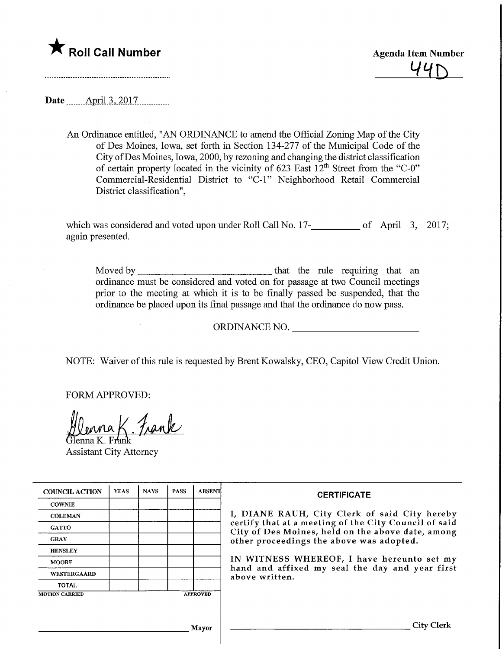

**Agenda Item Number** 

Date **April** 3, 2017

An Ordinance entitled, "AN ORDINANCE to amend the Official Zoning Map of the City of Des Moines, Iowa, set forth in Section 134-277 of the Municipal Code of the City ofDes Moines, Iowa, 2000, by rezoning and changing the district classification of certain property located in the vicinity of 623 East  $12<sup>th</sup>$  Street from the "C-0" Commercial-Residential District to "C-l" Neighborhood Retail Commercial District classification",

which was considered and voted upon under Roll Call No. 17-<br>
05 April 3, 2017; again presented.

Moved by that the rule requiring that an ordinance must be considered and voted on for passage at two Council meetings prior to the meeting at which it is to be finally passed be suspended, that the ordinance be placed upon its final passage and that the ordinance do now pass.

ORDINANCE NO.

NOTE: Waiver of this rule is requested by Brent Kowalsky, CEO, Capitol View Credit Union.

FORM APPROVED:

{ Frank

lenna K. Fi Assistant City Attorney

 $\overline{a}$ 

| <b>COUNCIL ACTION</b> | <b>YEAS</b> | <b>NAYS</b> | <b>PASS</b> | <b>ABSENT</b>   | <b>CERTIFICATE</b><br>I, DIANE RAUH, City Clerk of said City hereby<br>certify that at a meeting of the City Council of said<br>City of Des Moines, held on the above date, among<br>other proceedings the above was adopted.<br>IN WITNESS WHEREOF, I have hereunto set my<br>hand and affixed my seal the day and year first<br>above written. |
|-----------------------|-------------|-------------|-------------|-----------------|--------------------------------------------------------------------------------------------------------------------------------------------------------------------------------------------------------------------------------------------------------------------------------------------------------------------------------------------------|
| <b>COWNIE</b>         |             |             |             |                 |                                                                                                                                                                                                                                                                                                                                                  |
| <b>COLEMAN</b>        |             |             |             |                 |                                                                                                                                                                                                                                                                                                                                                  |
| <b>GATTO</b>          |             |             |             |                 |                                                                                                                                                                                                                                                                                                                                                  |
| <b>GRAY</b>           |             |             |             |                 |                                                                                                                                                                                                                                                                                                                                                  |
| <b>HENSLEY</b>        |             |             |             |                 |                                                                                                                                                                                                                                                                                                                                                  |
| <b>MOORE</b>          |             |             |             |                 |                                                                                                                                                                                                                                                                                                                                                  |
| <b>WESTERGAARD</b>    |             |             |             |                 |                                                                                                                                                                                                                                                                                                                                                  |
| <b>TOTAL</b>          |             |             |             |                 |                                                                                                                                                                                                                                                                                                                                                  |
| <b>MOTION CARRIED</b> |             |             |             | <b>APPROVED</b> |                                                                                                                                                                                                                                                                                                                                                  |
|                       |             |             |             |                 |                                                                                                                                                                                                                                                                                                                                                  |
| Mavor                 |             |             |             |                 | ∟itv                                                                                                                                                                                                                                                                                                                                             |